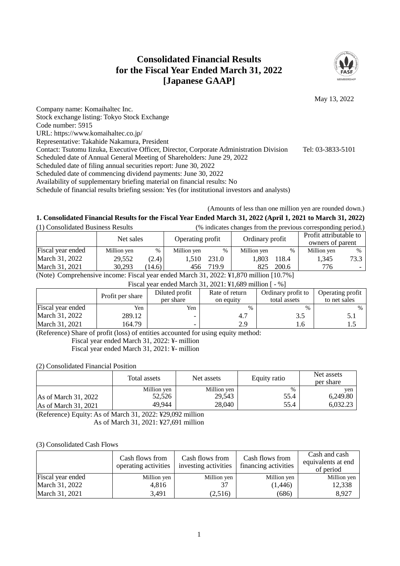# **Consolidated Financial Results for the Fiscal Year Ended March 31, 2022 [Japanese GAAP]**



May 13, 2022

Company name: Komaihaltec Inc. Stock exchange listing: Tokyo Stock Exchange Code number: 5915 URL: https://www.komaihaltec.co.jp/ Representative: Takahide Nakamura, President Contact: Tsutomu Iizuka, Executive Officer, Director, Corporate Administration Division Tel: 03-3833-5101 Scheduled date of Annual General Meeting of Shareholders: June 29, 2022 Scheduled date of filing annual securities report: June 30, 2022 Scheduled date of commencing dividend payments: June 30, 2022 Availability of supplementary briefing material on financial results: No Schedule of financial results briefing session: Yes (for institutional investors and analysts)

(Amounts of less than one million yen are rounded down.)

#### **1. Consolidated Financial Results for the Fiscal Year Ended March 31, 2022 (April 1, 2021 to March 31, 2022)**  $\text{colided P}$

| (1) Consolidated Business Results |             |        |                  |               |                 |       | (% indicates changes from the previous corresponding period.) |        |
|-----------------------------------|-------------|--------|------------------|---------------|-----------------|-------|---------------------------------------------------------------|--------|
|                                   | Net sales   |        | Operating profit |               | Ordinary profit |       | Profit attributable to<br>owners of parent                    |        |
| Fiscal year ended                 | Million yen | $\%$   | Million yen      | $\frac{0}{0}$ | Million yen     | %     | Million yen                                                   | $\%$   |
| March 31, 2022                    | 29.552      | (2.4)  | 1.510            | 231.0         | 1.803           | 118.4 | 1,345                                                         | 73.3 l |
| March 31, 2021                    | 30,293      | (14.6) | 456              | 719.9         | 825             | 200.6 | 776                                                           |        |

(Note) Comprehensive income: Fiscal year ended March 31, 2022: ¥1,870 million [10.7%]

|  | Fiscal year ended March 31, $2021:41,689$ million $[-%]$ |
|--|----------------------------------------------------------|
|--|----------------------------------------------------------|

|                   | Profit per share | Diluted profit<br>per share | Rate of return<br>on equity | Ordinary profit to<br>total assets | Operating profit<br>to net sales |
|-------------------|------------------|-----------------------------|-----------------------------|------------------------------------|----------------------------------|
| Fiscal year ended | Yen              | Yen                         | $\%$                        | $\%$                               | $\%$                             |
| March 31, 2022    | 289.12           | -                           | 4.7                         |                                    |                                  |
| March 31, 2021    | 164.79           | -                           | 2.9                         | 1.6                                |                                  |

(Reference) Share of profit (loss) of entities accounted for using equity method:

Fiscal year ended March 31, 2022: ¥- million

Fiscal year ended March 31, 2021: ¥- million

# (2) Consolidated Financial Position

|                                                       | Total assets                    | Net assets                      | Equity ratio         | Net assets<br>per share     |
|-------------------------------------------------------|---------------------------------|---------------------------------|----------------------|-----------------------------|
| As of March 31, 2022<br>$\text{As}$ of March 31, 2021 | Million yen<br>52.526<br>49,944 | Million yen<br>29.543<br>28,040 | $\%$<br>55.4<br>55.4 | ven<br>6.249.80<br>6,032.23 |

(Reference) Equity: As of March 31, 2022: ¥29,092 million As of March 31, 2021: ¥27,691 million

#### (3) Consolidated Cash Flows

|                   | Cash flows from<br>operating activities | Cash flows from<br>investing activities | Cash flows from<br>financing activities | Cash and cash<br>equivalents at end<br>of period |
|-------------------|-----------------------------------------|-----------------------------------------|-----------------------------------------|--------------------------------------------------|
| Fiscal year ended | Million yen                             | Million yen                             | Million yen                             | Million yen                                      |
| March 31, 2022    | 4,816                                   |                                         | (1, 446)                                | 12,338                                           |
| March 31, 2021    | 3,491                                   | (2,516)                                 | (686)                                   | 8,927                                            |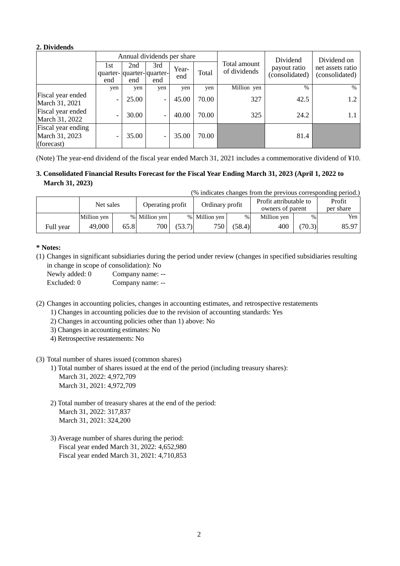# **2. Dividends**

|                                                    |                                          |            | Annual dividends per share |              |       |                              | Dividend                       | Dividend on                        |
|----------------------------------------------------|------------------------------------------|------------|----------------------------|--------------|-------|------------------------------|--------------------------------|------------------------------------|
|                                                    | 1st<br>quarter- quarter- quarter-<br>end | 2nd<br>end | 3rd<br>end                 | Year-<br>end | Total | Total amount<br>of dividends | payout ratio<br>(consolidated) | net assets ratio<br>(consolidated) |
|                                                    | yen                                      | yen        | yen                        | yen          | yen   | Million yen                  | $\frac{0}{0}$                  | $\frac{0}{0}$                      |
| Fiscal year ended<br>March 31, 2021                |                                          | 25.00      | $\overline{\phantom{a}}$   | 45.00        | 70.00 | 327                          | 42.5                           | 1.2                                |
| Fiscal year ended<br>March 31, 2022                |                                          | 30.00      | $\overline{\phantom{0}}$   | 40.00        | 70.00 | 325                          | 24.2                           | 1.1                                |
| Fiscal year ending<br>March 31, 2023<br>(forecast) |                                          | 35.00      |                            | 35.00        | 70.00 |                              | 81.4                           |                                    |

(Note) The year-end dividend of the fiscal year ended March 31, 2021 includes a commemorative dividend of ¥10.

# **3. Consolidated Financial Results Forecast for the Fiscal Year Ending March 31, 2023 (April 1, 2022 to March 31, 2023)**

(% indicates changes from the previous corresponding period.)

|           | Net sales   |      | Operating profit |        | Ordinary profit |        | Profit attributable to<br>owners of parent |        | Profit<br>per share |
|-----------|-------------|------|------------------|--------|-----------------|--------|--------------------------------------------|--------|---------------------|
|           | Million yen |      | % Million yen    |        | % Million yen   | $\%$   | Million yen                                | $\%$   | Yen                 |
| Full year | 49,000      | 65.8 | 700              | (53.7) | 750             | (58.4) | 400                                        | (70.3) | 85.97               |

# **\* Notes:**

(1) Changes in significant subsidiaries during the period under review (changes in specified subsidiaries resulting in change in scope of consolidation): No

| Newly added: 0 | Company name: -- |
|----------------|------------------|
| Excluded: 0    | Company name: -- |

(2) Changes in accounting policies, changes in accounting estimates, and retrospective restatements

1) Changes in accounting policies due to the revision of accounting standards: Yes

2) Changes in accounting policies other than 1) above: No

3) Changes in accounting estimates: No

4) Retrospective restatements: No

# (3) Total number of shares issued (common shares)

- 1) Total number of shares issued at the end of the period (including treasury shares): March 31, 2022: 4,972,709 March 31, 2021: 4,972,709
- 2) Total number of treasury shares at the end of the period: March 31, 2022: 317,837 March 31, 2021: 324,200
- 3) Average number of shares during the period: Fiscal year ended March 31, 2022: 4,652,980 Fiscal year ended March 31, 2021: 4,710,853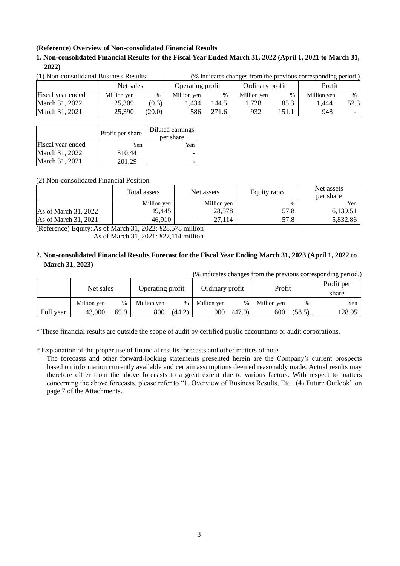# **(Reference) Overview of Non-consolidated Financial Results**

# **1. Non-consolidated Financial Results for the Fiscal Year Ended March 31, 2022 (April 1, 2021 to March 31, 2022)**

|                   | Net sales   |       | Operating profit |       | Ordinary profit |       | Profit      |      |
|-------------------|-------------|-------|------------------|-------|-----------------|-------|-------------|------|
| Fiscal year ended | Million yen | $\%$  | Million yen      | %     | Million yen     | $\%$  | Million yen | $\%$ |
| March 31, 2022    | 25,309      | (0.3) | .434             | 144.5 | .728            | 85.3  | .444        | 52.3 |
| March 31, 2021    | 25,390      | 20.0  | 586              | 271.6 | 932             | 151.1 | 948         |      |

|                   | Profit per share | Diluted earnings<br>per share |
|-------------------|------------------|-------------------------------|
| Fiscal year ended | Yen              | Yen                           |
| March 31, 2022    | 310.44           |                               |
| March 31, 2021    | 201.29           |                               |

# (2) Non-consolidated Financial Position

|                      | Total assets | Net assets  | Equity ratio | Net assets<br>per share |
|----------------------|--------------|-------------|--------------|-------------------------|
|                      | Million yen  | Million yen | $\%$         | Yen                     |
| As of March 31, 2022 | 49.445       | 28,578      | 57.8         | 6.139.51                |
| As of March 31, 2021 | 46,910       | 27.114      | 57.8         | 5,832.86                |

(Reference) Equity: As of March 31, 2022: ¥28,578 million As of March 31, 2021: ¥27,114 million

# **2. Non-consolidated Financial Results Forecast for the Fiscal Year Ending March 31, 2023 (April 1, 2022 to March 31, 2023)**

(% indicates changes from the previous corresponding period.)

|           | Net sales   |      | Operating profit |        | Ordinary profit |        | Profit      |        | Profit per<br>share |
|-----------|-------------|------|------------------|--------|-----------------|--------|-------------|--------|---------------------|
|           | Million yen | %    | Million yen      | %      | Million yen     | $\%$   | Million yen | $\%$   | Yen                 |
| Full year | 43,000      | 69.9 | 800              | (44.2) | 900             | (47.9) | 600         | (58.5) | 128.95              |

\* These financial results are outside the scope of audit by certified public accountants or audit corporations.

# \* Explanation of the proper use of financial results forecasts and other matters of note

The forecasts and other forward-looking statements presented herein are the Company's current prospects based on information currently available and certain assumptions deemed reasonably made. Actual results may therefore differ from the above forecasts to a great extent due to various factors. With respect to matters concerning the above forecasts, please refer to "1. Overview of Business Results, Etc., (4) Future Outlook" on page 7 of the Attachments.

<sup>(1)</sup> Non-consolidated Business Results (% indicates changes from the previous corresponding period.)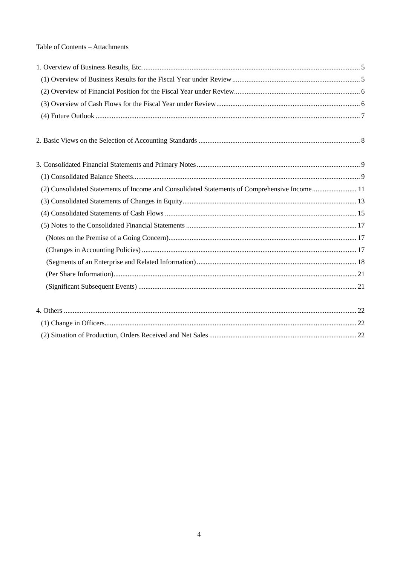# Table of Contents - Attachments

| (2) Consolidated Statements of Income and Consolidated Statements of Comprehensive Income 11 |  |
|----------------------------------------------------------------------------------------------|--|
|                                                                                              |  |
|                                                                                              |  |
|                                                                                              |  |
|                                                                                              |  |
|                                                                                              |  |
|                                                                                              |  |
|                                                                                              |  |
|                                                                                              |  |
|                                                                                              |  |
|                                                                                              |  |
|                                                                                              |  |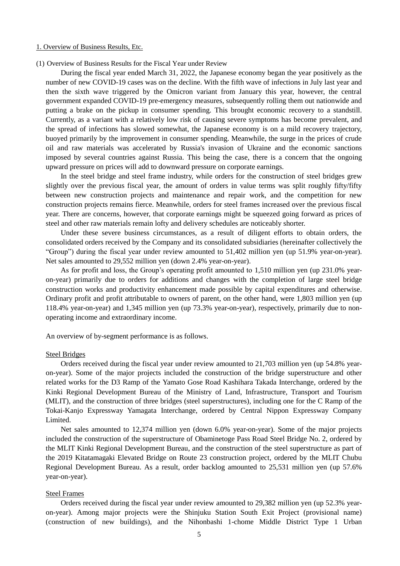#### 1. Overview of Business Results, Etc.

(1) Overview of Business Results for the Fiscal Year under Review

During the fiscal year ended March 31, 2022, the Japanese economy began the year positively as the number of new COVID-19 cases was on the decline. With the fifth wave of infections in July last year and then the sixth wave triggered by the Omicron variant from January this year, however, the central government expanded COVID-19 pre-emergency measures, subsequently rolling them out nationwide and putting a brake on the pickup in consumer spending. This brought economic recovery to a standstill. Currently, as a variant with a relatively low risk of causing severe symptoms has become prevalent, and the spread of infections has slowed somewhat, the Japanese economy is on a mild recovery trajectory, buoyed primarily by the improvement in consumer spending. Meanwhile, the surge in the prices of crude oil and raw materials was accelerated by Russia's invasion of Ukraine and the economic sanctions imposed by several countries against Russia. This being the case, there is a concern that the ongoing upward pressure on prices will add to downward pressure on corporate earnings.

In the steel bridge and steel frame industry, while orders for the construction of steel bridges grew slightly over the previous fiscal year, the amount of orders in value terms was split roughly fifty/fifty between new construction projects and maintenance and repair work, and the competition for new construction projects remains fierce. Meanwhile, orders for steel frames increased over the previous fiscal year. There are concerns, however, that corporate earnings might be squeezed going forward as prices of steel and other raw materials remain lofty and delivery schedules are noticeably shorter.

Under these severe business circumstances, as a result of diligent efforts to obtain orders, the consolidated orders received by the Company and its consolidated subsidiaries (hereinafter collectively the "Group") during the fiscal year under review amounted to 51,402 million yen (up 51.9% year-on-year). Net sales amounted to 29,552 million yen (down 2.4% year-on-year).

As for profit and loss, the Group's operating profit amounted to 1,510 million yen (up 231.0% yearon-year) primarily due to orders for additions and changes with the completion of large steel bridge construction works and productivity enhancement made possible by capital expenditures and otherwise. Ordinary profit and profit attributable to owners of parent, on the other hand, were 1,803 million yen (up 118.4% year-on-year) and 1,345 million yen (up 73.3% year-on-year), respectively, primarily due to nonoperating income and extraordinary income.

An overview of by-segment performance is as follows.

#### Steel Bridges

Orders received during the fiscal year under review amounted to 21,703 million yen (up 54.8% yearon-year). Some of the major projects included the construction of the bridge superstructure and other related works for the D3 Ramp of the Yamato Gose Road Kashihara Takada Interchange, ordered by the Kinki Regional Development Bureau of the Ministry of Land, Infrastructure, Transport and Tourism (MLIT), and the construction of three bridges (steel superstructures), including one for the C Ramp of the Tokai-Kanjo Expressway Yamagata Interchange, ordered by Central Nippon Expressway Company Limited.

Net sales amounted to 12,374 million yen (down 6.0% year-on-year). Some of the major projects included the construction of the superstructure of Obaminetoge Pass Road Steel Bridge No. 2, ordered by the MLIT Kinki Regional Development Bureau, and the construction of the steel superstructure as part of the 2019 Kitatamagaki Elevated Bridge on Route 23 construction project, ordered by the MLIT Chubu Regional Development Bureau. As a result, order backlog amounted to 25,531 million yen (up 57.6% year-on-year).

#### Steel Frames

Orders received during the fiscal year under review amounted to 29,382 million yen (up 52.3% yearon-year). Among major projects were the Shinjuku Station South Exit Project (provisional name) (construction of new buildings), and the Nihonbashi 1-chome Middle District Type 1 Urban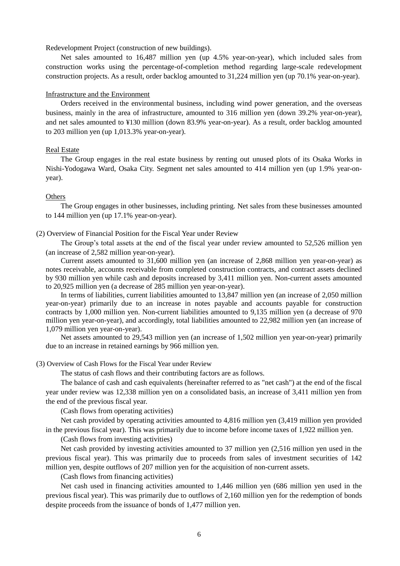Redevelopment Project (construction of new buildings).

Net sales amounted to 16,487 million yen (up 4.5% year-on-year), which included sales from construction works using the percentage-of-completion method regarding large-scale redevelopment construction projects. As a result, order backlog amounted to 31,224 million yen (up 70.1% year-on-year).

#### Infrastructure and the Environment

Orders received in the environmental business, including wind power generation, and the overseas business, mainly in the area of infrastructure, amounted to 316 million yen (down 39.2% year-on-year), and net sales amounted to ¥130 million (down 83.9% year-on-year). As a result, order backlog amounted to 203 million yen (up 1,013.3% year-on-year).

#### Real Estate

The Group engages in the real estate business by renting out unused plots of its Osaka Works in Nishi-Yodogawa Ward, Osaka City. Segment net sales amounted to 414 million yen (up 1.9% year-onyear).

#### **Others**

The Group engages in other businesses, including printing. Net sales from these businesses amounted to 144 million yen (up 17.1% year-on-year).

(2) Overview of Financial Position for the Fiscal Year under Review

The Group's total assets at the end of the fiscal year under review amounted to 52,526 million yen (an increase of 2,582 million year-on-year).

Current assets amounted to 31,600 million yen (an increase of 2,868 million yen year-on-year) as notes receivable, accounts receivable from completed construction contracts, and contract assets declined by 930 million yen while cash and deposits increased by 3,411 million yen. Non-current assets amounted to 20,925 million yen (a decrease of 285 million yen year-on-year).

In terms of liabilities, current liabilities amounted to 13,847 million yen (an increase of 2,050 million year-on-year) primarily due to an increase in notes payable and accounts payable for construction contracts by 1,000 million yen. Non-current liabilities amounted to 9,135 million yen (a decrease of 970 million yen year-on-year), and accordingly, total liabilities amounted to 22,982 million yen (an increase of 1,079 million yen year-on-year).

Net assets amounted to 29,543 million yen (an increase of 1,502 million yen year-on-year) primarily due to an increase in retained earnings by 966 million yen.

(3) Overview of Cash Flows for the Fiscal Year under Review

The status of cash flows and their contributing factors are as follows.

The balance of cash and cash equivalents (hereinafter referred to as "net cash") at the end of the fiscal year under review was 12,338 million yen on a consolidated basis, an increase of 3,411 million yen from the end of the previous fiscal year.

(Cash flows from operating activities)

Net cash provided by operating activities amounted to 4,816 million yen (3,419 million yen provided in the previous fiscal year). This was primarily due to income before income taxes of 1,922 million yen.

(Cash flows from investing activities)

Net cash provided by investing activities amounted to 37 million yen (2,516 million yen used in the previous fiscal year). This was primarily due to proceeds from sales of investment securities of 142 million yen, despite outflows of 207 million yen for the acquisition of non-current assets.

(Cash flows from financing activities)

Net cash used in financing activities amounted to 1,446 million yen (686 million yen used in the previous fiscal year). This was primarily due to outflows of 2,160 million yen for the redemption of bonds despite proceeds from the issuance of bonds of 1,477 million yen.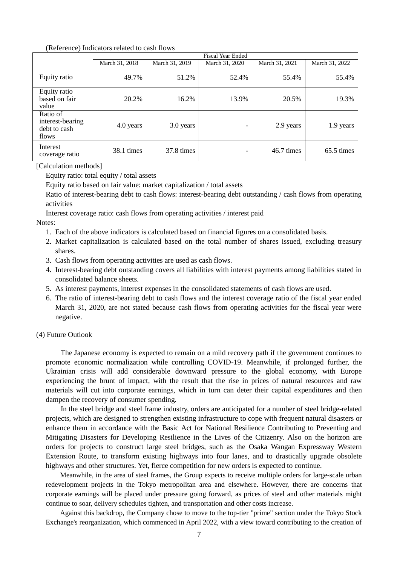### (Reference) Indicators related to cash flows

|                                                       | <b>Fiscal Year Ended</b> |                |                |                |                |
|-------------------------------------------------------|--------------------------|----------------|----------------|----------------|----------------|
|                                                       | March 31, 2018           | March 31, 2019 | March 31, 2020 | March 31, 2021 | March 31, 2022 |
| Equity ratio                                          | 49.7%                    | 51.2%          | 52.4%          | 55.4%          | 55.4%          |
| Equity ratio<br>based on fair<br>value                | 20.2%                    | 16.2%          | 13.9%          | 20.5%          | 19.3%          |
| Ratio of<br>interest-bearing<br>debt to cash<br>flows | 4.0 years                | 3.0 years      |                | 2.9 years      | 1.9 years      |
| Interest<br>coverage ratio                            | 38.1 times               | 37.8 times     |                | 46.7 times     | 65.5 times     |

[Calculation methods]

Equity ratio: total equity / total assets

Equity ratio based on fair value: market capitalization / total assets

Ratio of interest-bearing debt to cash flows: interest-bearing debt outstanding / cash flows from operating activities

Interest coverage ratio: cash flows from operating activities / interest paid

#### Notes:

- 1. Each of the above indicators is calculated based on financial figures on a consolidated basis.
- 2. Market capitalization is calculated based on the total number of shares issued, excluding treasury shares.
- 3. Cash flows from operating activities are used as cash flows.
- 4. Interest-bearing debt outstanding covers all liabilities with interest payments among liabilities stated in consolidated balance sheets.
- 5. As interest payments, interest expenses in the consolidated statements of cash flows are used.
- 6. The ratio of interest-bearing debt to cash flows and the interest coverage ratio of the fiscal year ended March 31, 2020, are not stated because cash flows from operating activities for the fiscal year were negative.

### (4) Future Outlook

The Japanese economy is expected to remain on a mild recovery path if the government continues to promote economic normalization while controlling COVID-19. Meanwhile, if prolonged further, the Ukrainian crisis will add considerable downward pressure to the global economy, with Europe experiencing the brunt of impact, with the result that the rise in prices of natural resources and raw materials will cut into corporate earnings, which in turn can deter their capital expenditures and then dampen the recovery of consumer spending.

In the steel bridge and steel frame industry, orders are anticipated for a number of steel bridge-related projects, which are designed to strengthen existing infrastructure to cope with frequent natural disasters or enhance them in accordance with the Basic Act for National Resilience Contributing to Preventing and Mitigating Disasters for Developing Resilience in the Lives of the Citizenry. Also on the horizon are orders for projects to construct large steel bridges, such as the Osaka Wangan Expressway Western Extension Route, to transform existing highways into four lanes, and to drastically upgrade obsolete highways and other structures. Yet, fierce competition for new orders is expected to continue.

Meanwhile, in the area of steel frames, the Group expects to receive multiple orders for large-scale urban redevelopment projects in the Tokyo metropolitan area and elsewhere. However, there are concerns that corporate earnings will be placed under pressure going forward, as prices of steel and other materials might continue to soar, delivery schedules tighten, and transportation and other costs increase.

Against this backdrop, the Company chose to move to the top-tier "prime" section under the Tokyo Stock Exchange's reorganization, which commenced in April 2022, with a view toward contributing to the creation of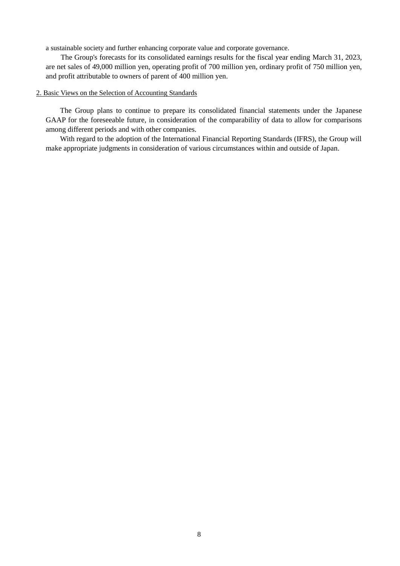a sustainable society and further enhancing corporate value and corporate governance.

The Group's forecasts for its consolidated earnings results for the fiscal year ending March 31, 2023, are net sales of 49,000 million yen, operating profit of 700 million yen, ordinary profit of 750 million yen, and profit attributable to owners of parent of 400 million yen.

### 2. Basic Views on the Selection of Accounting Standards

The Group plans to continue to prepare its consolidated financial statements under the Japanese GAAP for the foreseeable future, in consideration of the comparability of data to allow for comparisons among different periods and with other companies.

With regard to the adoption of the International Financial Reporting Standards (IFRS), the Group will make appropriate judgments in consideration of various circumstances within and outside of Japan.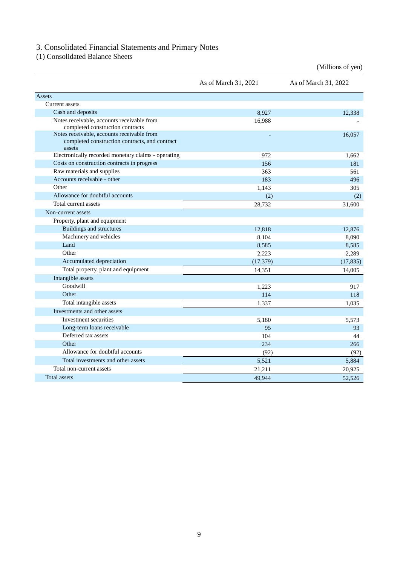### 3. Consolidated Financial Statements and Primary Notes

(1) Consolidated Balance Sheets

(Millions of yen)

|                                                          | As of March 31, 2021 | As of March 31, 2022 |
|----------------------------------------------------------|----------------------|----------------------|
| Assets                                                   |                      |                      |
| <b>Current</b> assets                                    |                      |                      |
| Cash and deposits                                        | 8,927                | 12.338               |
| Notes receivable, accounts receivable from               | 16,988               |                      |
| completed construction contracts                         |                      |                      |
| Notes receivable, accounts receivable from               |                      | 16,057               |
| completed construction contracts, and contract<br>assets |                      |                      |
| Electronically recorded monetary claims - operating      | 972                  | 1.662                |
| Costs on construction contracts in progress              | 156                  | 181                  |
| Raw materials and supplies                               | 363                  | 561                  |
| Accounts receivable - other                              | 183                  | 496                  |
| Other                                                    | 1,143                | 305                  |
| Allowance for doubtful accounts                          | (2)                  | (2)                  |
| Total current assets                                     | 28,732               | 31,600               |
| Non-current assets                                       |                      |                      |
| Property, plant and equipment                            |                      |                      |
| <b>Buildings and structures</b>                          | 12,818               | 12,876               |
| Machinery and vehicles                                   | 8,104                | 8,090                |
| Land                                                     | 8,585                | 8.585                |
| Other                                                    | 2,223                | 2,289                |
| Accumulated depreciation                                 | (17, 379)            | (17, 835)            |
| Total property, plant and equipment                      | 14,351               | 14,005               |
| Intangible assets                                        |                      |                      |
| Goodwill                                                 | 1,223                | 917                  |
| Other                                                    | 114                  | 118                  |
| Total intangible assets                                  | 1,337                | 1,035                |
| Investments and other assets                             |                      |                      |
| Investment securities                                    | 5,180                | 5,573                |
| Long-term loans receivable                               | 95                   | 93                   |
| Deferred tax assets                                      | 104                  | 44                   |
| Other                                                    | 234                  | 266                  |
| Allowance for doubtful accounts                          | (92)                 | (92)                 |
| Total investments and other assets                       | 5,521                | 5,884                |
| Total non-current assets                                 | 21,211               | 20,925               |
| <b>Total assets</b>                                      | 49.944               | 52,526               |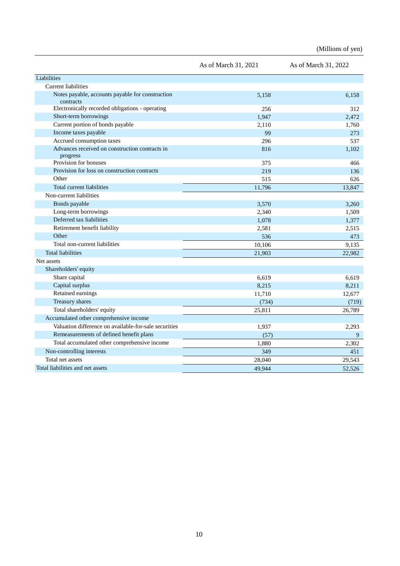|                                                               | As of March 31, 2021 | As of March 31, 2022 |
|---------------------------------------------------------------|----------------------|----------------------|
| Liabilities                                                   |                      |                      |
| <b>Current liabilities</b>                                    |                      |                      |
| Notes payable, accounts payable for construction<br>contracts | 5,158                | 6.158                |
| Electronically recorded obligations - operating               | 256                  | 312                  |
| Short-term borrowings                                         | 1,947                | 2,472                |
| Current portion of bonds payable                              | 2,110                | 1,760                |
| Income taxes payable                                          | 99                   | 273                  |
| Accrued consumption taxes                                     | 296                  | 537                  |
| Advances received on construction contracts in<br>progress    | 816                  | 1,102                |
| Provision for bonuses                                         | 375                  | 466                  |
| Provision for loss on construction contracts                  | 219                  | 136                  |
| Other                                                         | 515                  | 626                  |
| Total current liabilities                                     | 11,796               | 13,847               |
| Non-current liabilities                                       |                      |                      |
| Bonds payable                                                 | 3,570                | 3.260                |
| Long-term borrowings                                          | 2,340                | 1,509                |
| Deferred tax liabilities                                      | 1,078                | 1,377                |
| Retirement benefit liability                                  | 2,581                | 2,515                |
| Other                                                         | 536                  | 473                  |
| Total non-current liabilities                                 | 10.106               | 9.135                |
| <b>Total liabilities</b>                                      | 21,903               | 22,982               |
| Net assets                                                    |                      |                      |
| Shareholders' equity                                          |                      |                      |
| Share capital                                                 | 6,619                | 6,619                |
| Capital surplus                                               | 8,215                | 8,211                |
| Retained earnings                                             | 11,710               | 12,677               |
| Treasury shares                                               | (734)                | (719)                |
| Total shareholders' equity                                    | 25,811               | 26,789               |
| Accumulated other comprehensive income                        |                      |                      |
| Valuation difference on available-for-sale securities         | 1,937                | 2,293                |
| Remeasurements of defined benefit plans                       | (57)                 | 9                    |
| Total accumulated other comprehensive income                  | 1,880                | 2,302                |
| Non-controlling interests                                     | 349                  | 451                  |
| Total net assets                                              | 28,040               | 29,543               |
| Total liabilities and net assets                              | 49.944               | 52.526               |

(Millions of yen)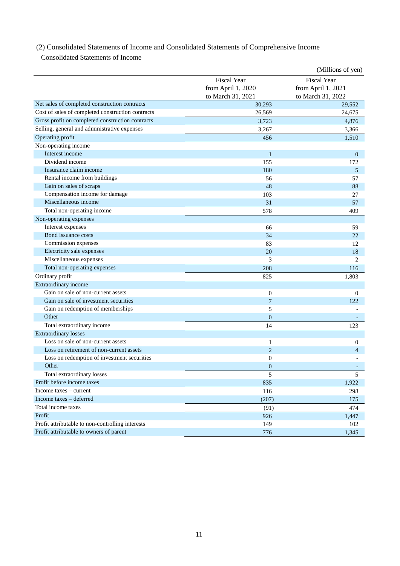# (2) Consolidated Statements of Income and Consolidated Statements of Comprehensive Income

Consolidated Statements of Income

|                                                   |                    | (Millions of yen)  |
|---------------------------------------------------|--------------------|--------------------|
|                                                   | <b>Fiscal Year</b> | <b>Fiscal Year</b> |
|                                                   | from April 1, 2020 | from April 1, 2021 |
|                                                   | to March 31, 2021  | to March 31, 2022  |
| Net sales of completed construction contracts     | 30,293             | 29.552             |
| Cost of sales of completed construction contracts | 26,569             | 24,675             |
| Gross profit on completed construction contracts  | 3,723              | 4,876              |
| Selling, general and administrative expenses      | 3,267              | 3,366              |
| Operating profit                                  | 456                | 1,510              |
| Non-operating income                              |                    |                    |
| Interest income                                   | $\mathbf{1}$       | $\mathbf{0}$       |
| Dividend income                                   | 155                | 172                |
| Insurance claim income                            | 180                | 5                  |
| Rental income from buildings                      | 56                 | 57                 |
| Gain on sales of scraps                           | 48                 | 88                 |
| Compensation income for damage                    | 103                | 27                 |
| Miscellaneous income                              | 31                 | 57                 |
| Total non-operating income                        | 578                | 409                |
| Non-operating expenses                            |                    |                    |
| Interest expenses                                 | 66                 | 59                 |
| Bond issuance costs                               | 34                 | 22                 |
| Commission expenses                               | 83                 | 12                 |
| Electricity sale expenses                         | 20                 | 18                 |
| Miscellaneous expenses                            | 3                  | 2                  |
| Total non-operating expenses                      | 208                | 116                |
| Ordinary profit                                   | 825                | 1,803              |
| Extraordinary income                              |                    |                    |
| Gain on sale of non-current assets                | $\boldsymbol{0}$   | $\overline{0}$     |
| Gain on sale of investment securities             | $\overline{7}$     | 122                |
| Gain on redemption of memberships                 | 5                  |                    |
| Other                                             | $\mathbf{0}$       |                    |
| Total extraordinary income                        | 14                 | 123                |
| <b>Extraordinary losses</b>                       |                    |                    |
| Loss on sale of non-current assets                | 1                  | $\mathbf{0}$       |
| Loss on retirement of non-current assets          | $\overline{2}$     | 4                  |
| Loss on redemption of investment securities       | $\overline{0}$     |                    |
| Other                                             | $\overline{0}$     |                    |
| Total extraordinary losses                        | 5                  | 5                  |
| Profit before income taxes                        | 835                | 1,922              |
| Income taxes – current                            | 116                | 298                |
| Income taxes - deferred                           | (207)              | 175                |
| Total income taxes                                | (91)               | 474                |
| Profit                                            | 926                | 1,447              |
| Profit attributable to non-controlling interests  | 149                | 102                |
| Profit attributable to owners of parent           | 776                | 1,345              |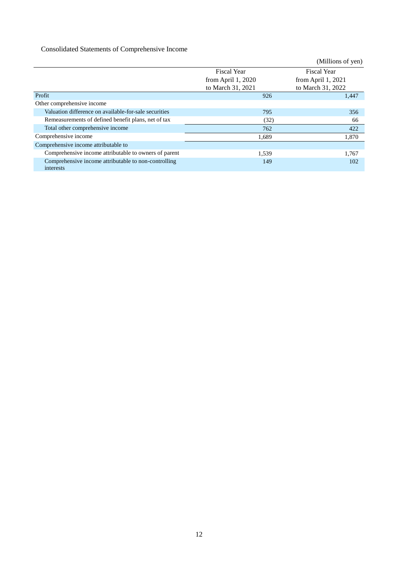Consolidated Statements of Comprehensive Income

|                                                                   |                     | (Millions of yen)   |
|-------------------------------------------------------------------|---------------------|---------------------|
|                                                                   | <b>Fiscal Year</b>  | <b>Fiscal Year</b>  |
|                                                                   | from April $1,2020$ | from April $1,2021$ |
|                                                                   | to March 31, 2021   | to March 31, 2022   |
| Profit                                                            | 926                 | 1,447               |
| Other comprehensive income                                        |                     |                     |
| Valuation difference on available-for-sale securities             | 795                 | 356                 |
| Remeasurements of defined benefit plans, net of tax               | (32)                | 66                  |
| Total other comprehensive income                                  | 762                 | 422                 |
| Comprehensive income                                              | 1,689               | 1,870               |
| Comprehensive income attributable to                              |                     |                     |
| Comprehensive income attributable to owners of parent             | 1.539               | 1.767               |
| Comprehensive income attributable to non-controlling<br>interests | 149                 | 102                 |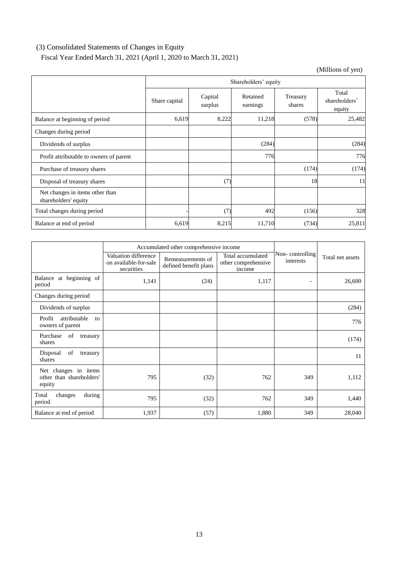# (3) Consolidated Statements of Changes in Equity

Fiscal Year Ended March 31, 2021 (April 1, 2020 to March 31, 2021)

(Millions of yen)

|                                                         | Shareholders' equity |                    |                      |                    |                                  |
|---------------------------------------------------------|----------------------|--------------------|----------------------|--------------------|----------------------------------|
|                                                         | Share capital        | Capital<br>surplus | Retained<br>earnings | Treasury<br>shares | Total<br>shareholders'<br>equity |
| Balance at beginning of period                          | 6,619                | 8,222              | 11,218               | (578)              | 25,482                           |
| Changes during period                                   |                      |                    |                      |                    |                                  |
| Dividends of surplus                                    |                      |                    | (284)                |                    | (284)                            |
| Profit attributable to owners of parent                 |                      |                    | 776                  |                    | 776                              |
| Purchase of treasury shares                             |                      |                    |                      | (174)              | (174)                            |
| Disposal of treasury shares                             |                      | (7)                |                      | 18                 | 11                               |
| Net changes in items other than<br>shareholders' equity |                      |                    |                      |                    |                                  |
| Total changes during period                             |                      | (7)                | 492                  | (156)              | 328                              |
| Balance at end of period                                | 6,619                | 8,215              | 11,710               | (734)              | 25,811                           |

|                                                            | Accumulated other comprehensive income                      |                                            |                                                    |                              |                  |
|------------------------------------------------------------|-------------------------------------------------------------|--------------------------------------------|----------------------------------------------------|------------------------------|------------------|
|                                                            | Valuation difference<br>on available-for-sale<br>securities | Remeasurements of<br>defined benefit plans | Total accumulated<br>other comprehensive<br>income | Non-controlling<br>interests | Total net assets |
| Balance at beginning of<br>period                          | 1,141                                                       | (24)                                       | 1,117                                              | $\overline{\phantom{a}}$     | 26,600           |
| Changes during period                                      |                                                             |                                            |                                                    |                              |                  |
| Dividends of surplus                                       |                                                             |                                            |                                                    |                              | (284)            |
| Profit<br>attributable<br>to<br>owners of parent           |                                                             |                                            |                                                    |                              | 776              |
| Purchase<br>of<br>treasury<br>shares                       |                                                             |                                            |                                                    |                              | (174)            |
| Disposal<br>of<br>treasury<br>shares                       |                                                             |                                            |                                                    |                              | 11               |
| Net changes in items<br>other than shareholders'<br>equity | 795                                                         | (32)                                       | 762                                                | 349                          | 1,112            |
| Total<br>changes<br>during<br>period                       | 795                                                         | (32)                                       | 762                                                | 349                          | 1,440            |
| Balance at end of period                                   | 1,937                                                       | (57)                                       | 1,880                                              | 349                          | 28,040           |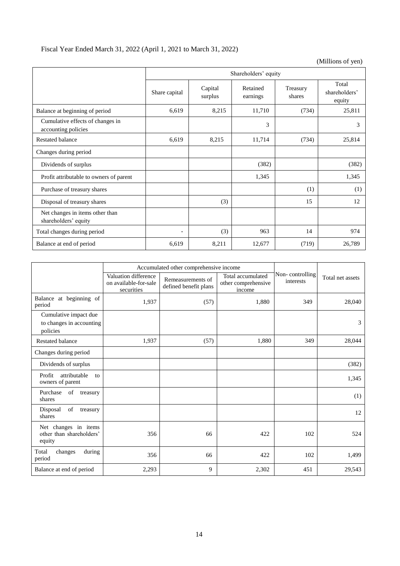# Fiscal Year Ended March 31, 2022 (April 1, 2021 to March 31, 2022)

(Millions of yen)

|                                                         | Shareholders' equity |                    |                      |                    |                                  |
|---------------------------------------------------------|----------------------|--------------------|----------------------|--------------------|----------------------------------|
|                                                         | Share capital        | Capital<br>surplus | Retained<br>earnings | Treasury<br>shares | Total<br>shareholders'<br>equity |
| Balance at beginning of period                          | 6,619                | 8,215              | 11,710               | (734)              | 25,811                           |
| Cumulative effects of changes in<br>accounting policies |                      |                    | 3                    |                    | 3                                |
| <b>Restated balance</b>                                 | 6,619                | 8,215              | 11,714               | (734)              | 25,814                           |
| Changes during period                                   |                      |                    |                      |                    |                                  |
| Dividends of surplus                                    |                      |                    | (382)                |                    | (382)                            |
| Profit attributable to owners of parent                 |                      |                    | 1,345                |                    | 1,345                            |
| Purchase of treasury shares                             |                      |                    |                      | (1)                | (1)                              |
| Disposal of treasury shares                             |                      | (3)                |                      | 15                 | 12                               |
| Net changes in items other than<br>shareholders' equity |                      |                    |                      |                    |                                  |
| Total changes during period                             |                      | (3)                | 963                  | 14                 | 974                              |
| Balance at end of period                                | 6,619                | 8,211              | 12,677               | (719)              | 26,789                           |

|                                                               | Accumulated other comprehensive income                      |                                            |                                                    |                              |                  |
|---------------------------------------------------------------|-------------------------------------------------------------|--------------------------------------------|----------------------------------------------------|------------------------------|------------------|
|                                                               | Valuation difference<br>on available-for-sale<br>securities | Remeasurements of<br>defined benefit plans | Total accumulated<br>other comprehensive<br>income | Non-controlling<br>interests | Total net assets |
| Balance at beginning of<br>period                             | 1,937                                                       | (57)                                       | 1,880                                              | 349                          | 28,040           |
| Cumulative impact due<br>to changes in accounting<br>policies |                                                             |                                            |                                                    |                              | 3                |
| Restated balance                                              | 1,937                                                       | (57)                                       | 1,880                                              | 349                          | 28,044           |
| Changes during period                                         |                                                             |                                            |                                                    |                              |                  |
| Dividends of surplus                                          |                                                             |                                            |                                                    |                              | (382)            |
| Profit<br>attributable<br>to<br>owners of parent              |                                                             |                                            |                                                    |                              | 1,345            |
| Purchase<br>of<br>treasury<br>shares                          |                                                             |                                            |                                                    |                              | (1)              |
| Disposal<br>of<br>treasury<br>shares                          |                                                             |                                            |                                                    |                              | 12               |
| Net changes in items<br>other than shareholders'<br>equity    | 356                                                         | 66                                         | 422                                                | 102                          | 524              |
| Total<br>changes<br>during<br>period                          | 356                                                         | 66                                         | 422                                                | 102                          | 1,499            |
| Balance at end of period                                      | 2,293                                                       | 9                                          | 2,302                                              | 451                          | 29,543           |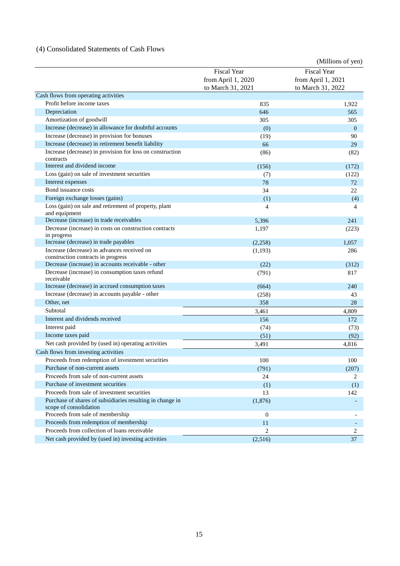# (4) Consolidated Statements of Cash Flows

|                                                                                     |                    | (Millions of yen)  |
|-------------------------------------------------------------------------------------|--------------------|--------------------|
|                                                                                     | <b>Fiscal Year</b> | <b>Fiscal Year</b> |
|                                                                                     | from April 1, 2020 | from April 1, 2021 |
|                                                                                     | to March 31, 2021  | to March 31, 2022  |
| Cash flows from operating activities                                                |                    |                    |
| Profit before income taxes                                                          | 835                | 1,922              |
| Depreciation                                                                        | 646                | 565                |
| Amortization of goodwill                                                            | 305                | 305                |
| Increase (decrease) in allowance for doubtful accounts                              | (0)                | $\Omega$           |
| Increase (decrease) in provision for bonuses                                        | (19)               | 90                 |
| Increase (decrease) in retirement benefit liability                                 | 66                 | 29                 |
| Increase (decrease) in provision for loss on construction                           | (86)               | (82)               |
| contracts                                                                           |                    |                    |
| Interest and dividend income                                                        | (156)              | (172)              |
| Loss (gain) on sale of investment securities                                        | (7)                | (122)              |
| Interest expenses                                                                   | 78                 | 72                 |
| Bond issuance costs                                                                 | 34                 | 22                 |
| Foreign exchange losses (gains)                                                     | (1)                | (4)                |
| Loss (gain) on sale and retirement of property, plant<br>and equipment              | 4                  | 4                  |
| Decrease (increase) in trade receivables                                            | 5,396              | 241                |
| Decrease (increase) in costs on construction contracts                              | 1,197              | (223)              |
| in progress                                                                         |                    |                    |
| Increase (decrease) in trade payables                                               | (2,258)            | 1,057              |
| Increase (decrease) in advances received on                                         | (1,193)            | 286                |
| construction contracts in progress                                                  |                    |                    |
| Decrease (increase) in accounts receivable - other                                  | (22)               | (312)              |
| Decrease (increase) in consumption taxes refund<br>receivable                       | (791)              | 817                |
| Increase (decrease) in accrued consumption taxes                                    | (664)              | 240                |
| Increase (decrease) in accounts payable - other                                     | (258)              | 43                 |
| Other, net                                                                          | 358                | 28                 |
| Subtotal                                                                            | 3,461              | 4,809              |
| Interest and dividends received                                                     | 156                | 172                |
| Interest paid                                                                       | (74)               | (73)               |
| Income taxes paid                                                                   | (51)               | (92)               |
| Net cash provided by (used in) operating activities                                 | 3,491              | 4,816              |
| Cash flows from investing activities                                                |                    |                    |
| Proceeds from redemption of investment securities                                   | 100                | 100                |
| Purchase of non-current assets                                                      | (791)              | (207)              |
| Proceeds from sale of non-current assets                                            | 24                 | 2                  |
| Purchase of investment securities                                                   | (1)                | (1)                |
| Proceeds from sale of investment securities                                         | 13                 | 142                |
| Purchase of shares of subsidiaries resulting in change in<br>scope of consolidation | (1,876)            |                    |
| Proceeds from sale of membership                                                    | $\overline{0}$     |                    |
| Proceeds from redemption of membership                                              | 11                 |                    |
| Proceeds from collection of loans receivable                                        | $\overline{c}$     | 2                  |
| Net cash provided by (used in) investing activities                                 | (2,516)            | 37                 |
|                                                                                     |                    |                    |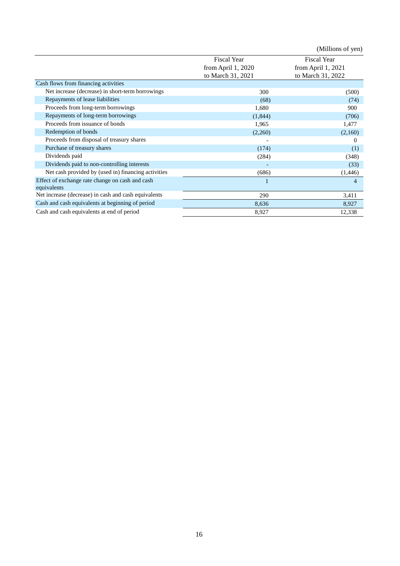|                                                                |                                                               | (Millions of yen)                                             |
|----------------------------------------------------------------|---------------------------------------------------------------|---------------------------------------------------------------|
|                                                                | <b>Fiscal Year</b><br>from April 1, 2020<br>to March 31, 2021 | <b>Fiscal Year</b><br>from April 1, 2021<br>to March 31, 2022 |
| Cash flows from financing activities                           |                                                               |                                                               |
| Net increase (decrease) in short-term borrowings               | 300                                                           | (500)                                                         |
| Repayments of lease liabilities                                | (68)                                                          | (74)                                                          |
| Proceeds from long-term borrowings                             | 1,680                                                         | 900                                                           |
| Repayments of long-term borrowings                             | (1,844)                                                       | (706)                                                         |
| Proceeds from issuance of bonds                                | 1,965                                                         | 1,477                                                         |
| Redemption of bonds                                            | (2,260)                                                       | (2,160)                                                       |
| Proceeds from disposal of treasury shares                      |                                                               | 0                                                             |
| Purchase of treasury shares                                    | (174)                                                         | (1)                                                           |
| Dividends paid                                                 | (284)                                                         | (348)                                                         |
| Dividends paid to non-controlling interests                    |                                                               | (33)                                                          |
| Net cash provided by (used in) financing activities            | (686)                                                         | (1,446)                                                       |
| Effect of exchange rate change on cash and cash<br>equivalents |                                                               | $\overline{4}$                                                |
| Net increase (decrease) in cash and cash equivalents           | 290                                                           | 3,411                                                         |
| Cash and cash equivalents at beginning of period               | 8,636                                                         | 8,927                                                         |
| Cash and cash equivalents at end of period                     | 8,927                                                         | 12,338                                                        |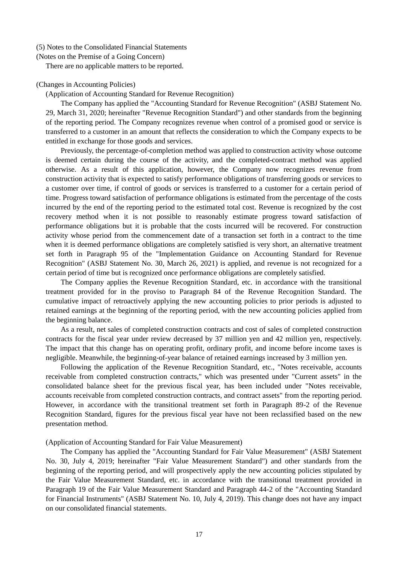#### (5) Notes to the Consolidated Financial Statements

(Notes on the Premise of a Going Concern)

There are no applicable matters to be reported.

#### (Changes in Accounting Policies)

(Application of Accounting Standard for Revenue Recognition)

The Company has applied the "Accounting Standard for Revenue Recognition" (ASBJ Statement No. 29, March 31, 2020; hereinafter "Revenue Recognition Standard") and other standards from the beginning of the reporting period. The Company recognizes revenue when control of a promised good or service is transferred to a customer in an amount that reflects the consideration to which the Company expects to be entitled in exchange for those goods and services.

Previously, the percentage-of-completion method was applied to construction activity whose outcome is deemed certain during the course of the activity, and the completed-contract method was applied otherwise. As a result of this application, however, the Company now recognizes revenue from construction activity that is expected to satisfy performance obligations of transferring goods or services to a customer over time, if control of goods or services is transferred to a customer for a certain period of time. Progress toward satisfaction of performance obligations is estimated from the percentage of the costs incurred by the end of the reporting period to the estimated total cost. Revenue is recognized by the cost recovery method when it is not possible to reasonably estimate progress toward satisfaction of performance obligations but it is probable that the costs incurred will be recovered. For construction activity whose period from the commencement date of a transaction set forth in a contract to the time when it is deemed performance obligations are completely satisfied is very short, an alternative treatment set forth in Paragraph 95 of the "Implementation Guidance on Accounting Standard for Revenue Recognition" (ASBJ Statement No. 30, March 26, 2021) is applied, and revenue is not recognized for a certain period of time but is recognized once performance obligations are completely satisfied.

The Company applies the Revenue Recognition Standard, etc. in accordance with the transitional treatment provided for in the proviso to Paragraph 84 of the Revenue Recognition Standard. The cumulative impact of retroactively applying the new accounting policies to prior periods is adjusted to retained earnings at the beginning of the reporting period, with the new accounting policies applied from the beginning balance.

As a result, net sales of completed construction contracts and cost of sales of completed construction contracts for the fiscal year under review decreased by 37 million yen and 42 million yen, respectively. The impact that this change has on operating profit, ordinary profit, and income before income taxes is negligible. Meanwhile, the beginning-of-year balance of retained earnings increased by 3 million yen.

Following the application of the Revenue Recognition Standard, etc., "Notes receivable, accounts receivable from completed construction contracts," which was presented under "Current assets" in the consolidated balance sheet for the previous fiscal year, has been included under "Notes receivable, accounts receivable from completed construction contracts, and contract assets" from the reporting period. However, in accordance with the transitional treatment set forth in Paragraph 89-2 of the Revenue Recognition Standard, figures for the previous fiscal year have not been reclassified based on the new presentation method.

#### (Application of Accounting Standard for Fair Value Measurement)

The Company has applied the "Accounting Standard for Fair Value Measurement" (ASBJ Statement No. 30, July 4, 2019; hereinafter "Fair Value Measurement Standard") and other standards from the beginning of the reporting period, and will prospectively apply the new accounting policies stipulated by the Fair Value Measurement Standard, etc. in accordance with the transitional treatment provided in Paragraph 19 of the Fair Value Measurement Standard and Paragraph 44-2 of the "Accounting Standard for Financial Instruments" (ASBJ Statement No. 10, July 4, 2019). This change does not have any impact on our consolidated financial statements.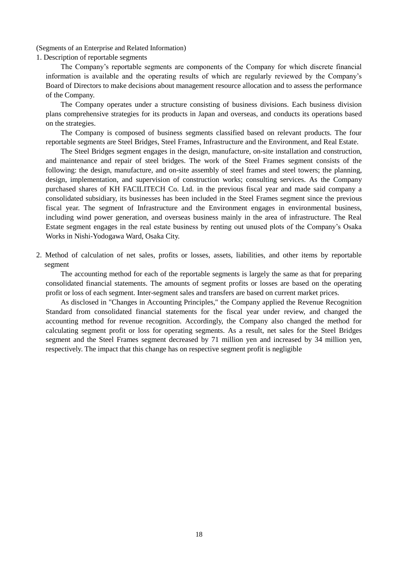(Segments of an Enterprise and Related Information)

1. Description of reportable segments

The Company's reportable segments are components of the Company for which discrete financial information is available and the operating results of which are regularly reviewed by the Company's Board of Directors to make decisions about management resource allocation and to assess the performance of the Company.

The Company operates under a structure consisting of business divisions. Each business division plans comprehensive strategies for its products in Japan and overseas, and conducts its operations based on the strategies.

The Company is composed of business segments classified based on relevant products. The four reportable segments are Steel Bridges, Steel Frames, Infrastructure and the Environment, and Real Estate.

The Steel Bridges segment engages in the design, manufacture, on-site installation and construction, and maintenance and repair of steel bridges. The work of the Steel Frames segment consists of the following: the design, manufacture, and on-site assembly of steel frames and steel towers; the planning, design, implementation, and supervision of construction works; consulting services. As the Company purchased shares of KH FACILITECH Co. Ltd. in the previous fiscal year and made said company a consolidated subsidiary, its businesses has been included in the Steel Frames segment since the previous fiscal year. The segment of Infrastructure and the Environment engages in environmental business, including wind power generation, and overseas business mainly in the area of infrastructure. The Real Estate segment engages in the real estate business by renting out unused plots of the Company's Osaka Works in Nishi-Yodogawa Ward, Osaka City.

2. Method of calculation of net sales, profits or losses, assets, liabilities, and other items by reportable segment

The accounting method for each of the reportable segments is largely the same as that for preparing consolidated financial statements. The amounts of segment profits or losses are based on the operating profit or loss of each segment. Inter-segment sales and transfers are based on current market prices.

As disclosed in "Changes in Accounting Principles," the Company applied the Revenue Recognition Standard from consolidated financial statements for the fiscal year under review, and changed the accounting method for revenue recognition. Accordingly, the Company also changed the method for calculating segment profit or loss for operating segments. As a result, net sales for the Steel Bridges segment and the Steel Frames segment decreased by 71 million yen and increased by 34 million yen, respectively. The impact that this change has on respective segment profit is negligible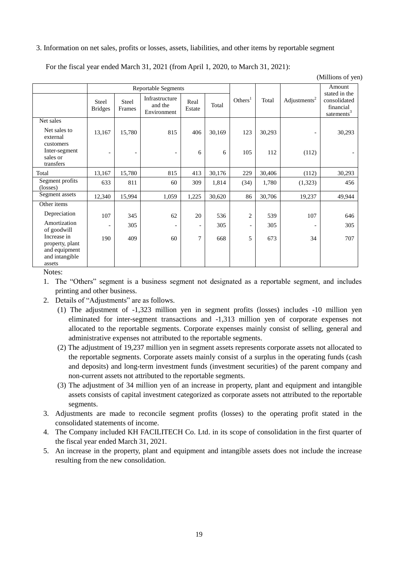3. Information on net sales, profits or losses, assets, liabilities, and other items by reportable segment

For the fiscal year ended March 31, 2021 (from April 1, 2020, to March 31, 2021):

| (Millions of yen) |  |
|-------------------|--|
|                   |  |

|                                                                   | <b>Reportable Segments</b>     |                 |                                          |                          |        |                          | Amount |                          |                                                                      |
|-------------------------------------------------------------------|--------------------------------|-----------------|------------------------------------------|--------------------------|--------|--------------------------|--------|--------------------------|----------------------------------------------------------------------|
|                                                                   | <b>Steel</b><br><b>Bridges</b> | Steel<br>Frames | Infrastructure<br>and the<br>Environment | Real<br>Estate           | Total  | Others $1$               | Total  | Adjustments <sup>2</sup> | stated in the<br>consolidated<br>financial<br>satements <sup>3</sup> |
| Net sales                                                         |                                |                 |                                          |                          |        |                          |        |                          |                                                                      |
| Net sales to<br>external<br>customers                             | 13,167                         | 15,780          | 815                                      | 406                      | 30,169 | 123                      | 30,293 |                          | 30,293                                                               |
| Inter-segment<br>sales or<br>transfers                            |                                | ٠               | $\qquad \qquad \blacksquare$             | 6                        | 6      | 105                      | 112    | (112)                    |                                                                      |
| Total                                                             | 13,167                         | 15,780          | 815                                      | 413                      | 30,176 | 229                      | 30,406 | (112)                    | 30,293                                                               |
| Segment profits<br>(losses)                                       | 633                            | 811             | 60                                       | 309                      | 1,814  | (34)                     | 1,780  | (1,323)                  | 456                                                                  |
| Segment assets                                                    | 12,340                         | 15,994          | 1,059                                    | 1,225                    | 30,620 | 86                       | 30,706 | 19,237                   | 49,944                                                               |
| Other items                                                       |                                |                 |                                          |                          |        |                          |        |                          |                                                                      |
| Depreciation                                                      | 107                            | 345             | 62                                       | 20                       | 536    | $\overline{c}$           | 539    | 107                      | 646                                                                  |
| Amortization<br>of goodwill                                       |                                | 305             | $\overline{\phantom{a}}$                 | $\overline{\phantom{a}}$ | 305    | $\overline{\phantom{a}}$ | 305    |                          | 305                                                                  |
| Increase in<br>property, plant<br>and equipment<br>and intangible | 190                            | 409             | 60                                       | 7                        | 668    | 5                        | 673    | 34                       | 707                                                                  |
| assets                                                            |                                |                 |                                          |                          |        |                          |        |                          |                                                                      |

Notes:

- 1. The "Others" segment is a business segment not designated as a reportable segment, and includes printing and other business.
- 2. Details of "Adjustments" are as follows.
	- (1) The adjustment of -1,323 million yen in segment profits (losses) includes -10 million yen eliminated for inter-segment transactions and -1,313 million yen of corporate expenses not allocated to the reportable segments. Corporate expenses mainly consist of selling, general and administrative expenses not attributed to the reportable segments.
	- (2) The adjustment of 19,237 million yen in segment assets represents corporate assets not allocated to the reportable segments. Corporate assets mainly consist of a surplus in the operating funds (cash and deposits) and long-term investment funds (investment securities) of the parent company and non-current assets not attributed to the reportable segments.
	- (3) The adjustment of 34 million yen of an increase in property, plant and equipment and intangible assets consists of capital investment categorized as corporate assets not attributed to the reportable segments.
- 3. Adjustments are made to reconcile segment profits (losses) to the operating profit stated in the consolidated statements of income.
- 4. The Company included KH FACILITECH Co. Ltd. in its scope of consolidation in the first quarter of the fiscal year ended March 31, 2021.
- 5. An increase in the property, plant and equipment and intangible assets does not include the increase resulting from the new consolidation.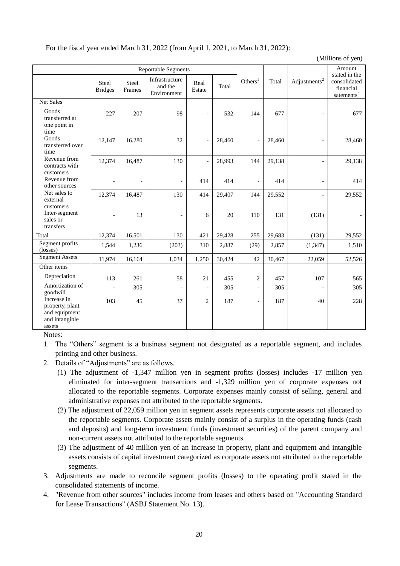For the fiscal year ended March 31, 2022 (from April 1, 2021, to March 31, 2022):

|                                                                             |                          |                 |                                          |                          |        |                          | $($ whilions of $y$ ch) |                          |                                                        |
|-----------------------------------------------------------------------------|--------------------------|-----------------|------------------------------------------|--------------------------|--------|--------------------------|-------------------------|--------------------------|--------------------------------------------------------|
|                                                                             |                          |                 | Reportable Segments                      |                          |        |                          |                         |                          | Amount<br>stated in the                                |
|                                                                             | Steel<br><b>Bridges</b>  | Steel<br>Frames | Infrastructure<br>and the<br>Environment | Real<br>Estate           | Total  | Others <sup>1</sup>      | Total                   | Adjustments <sup>2</sup> | consolidated<br>financial<br>$s$ atements <sup>3</sup> |
| <b>Net Sales</b>                                                            |                          |                 |                                          |                          |        |                          |                         |                          |                                                        |
| Goods<br>transferred at<br>one point in                                     | 227                      | 207             | 98                                       |                          | 532    | 144                      | 677                     |                          | 677                                                    |
| time<br>Goods<br>transferred over<br>time                                   | 12,147                   | 16,280          | 32                                       | $\overline{a}$           | 28,460 | $\blacksquare$           | 28,460                  |                          | 28,460                                                 |
| Revenue from<br>contracts with<br>customers                                 | 12,374                   | 16,487          | 130                                      | $\overline{a}$           | 28,993 | 144                      | 29,138                  |                          | 29,138                                                 |
| Revenue from<br>other sources                                               | $\overline{\phantom{a}}$ | $\overline{a}$  | $\overline{a}$                           | 414                      | 414    | $\overline{\phantom{a}}$ | 414                     |                          | 414                                                    |
| Net sales to<br>external<br>customers                                       | 12,374                   | 16,487          | 130                                      | 414                      | 29,407 | 144                      | 29,552                  | $\overline{a}$           | 29,552                                                 |
| Inter-segment<br>sales or<br>transfers                                      | $\blacksquare$           | 13              | $\overline{a}$                           | 6                        | 20     | 110                      | 131                     | (131)                    |                                                        |
| Total                                                                       | 12,374                   | 16,501          | 130                                      | 421                      | 29,428 | 255                      | 29,683                  | (131)                    | 29,552                                                 |
| Segment profits<br>(losses)                                                 | 1,544                    | 1,236           | (203)                                    | 310                      | 2,887  | (29)                     | 2,857                   | (1, 347)                 | 1,510                                                  |
| <b>Segment Assets</b>                                                       | 11,974                   | 16,164          | 1,034                                    | 1,250                    | 30,424 | 42                       | 30,467                  | 22,059                   | 52,526                                                 |
| Other items                                                                 |                          |                 |                                          |                          |        |                          |                         |                          |                                                        |
| Depreciation                                                                | 113                      | 261             | 58                                       | 21                       | 455    | $\overline{c}$           | 457                     | 107                      | 565                                                    |
| Amortization of<br>goodwill                                                 | $\overline{a}$           | 305             |                                          | $\overline{\phantom{a}}$ | 305    | $\overline{\phantom{a}}$ | 305                     |                          | 305                                                    |
| Increase in<br>property, plant<br>and equipment<br>and intangible<br>assets | 103                      | 45              | 37                                       | $\overline{2}$           | 187    | $\overline{\phantom{a}}$ | 187                     | 40                       | 228                                                    |

 $(M)$ llions of  $(9)$ 

Notes:

1. The "Others" segment is a business segment not designated as a reportable segment, and includes printing and other business.

- 2. Details of "Adjustments" are as follows.
	- (1) The adjustment of -1,347 million yen in segment profits (losses) includes -17 million yen eliminated for inter-segment transactions and -1,329 million yen of corporate expenses not allocated to the reportable segments. Corporate expenses mainly consist of selling, general and administrative expenses not attributed to the reportable segments.
	- (2) The adjustment of 22,059 million yen in segment assets represents corporate assets not allocated to the reportable segments. Corporate assets mainly consist of a surplus in the operating funds (cash and deposits) and long-term investment funds (investment securities) of the parent company and non-current assets not attributed to the reportable segments.
	- (3) The adjustment of 40 million yen of an increase in property, plant and equipment and intangible assets consists of capital investment categorized as corporate assets not attributed to the reportable segments.
- 3. Adjustments are made to reconcile segment profits (losses) to the operating profit stated in the consolidated statements of income.
- 4. "Revenue from other sources" includes income from leases and others based on "Accounting Standard for Lease Transactions" (ASBJ Statement No. 13).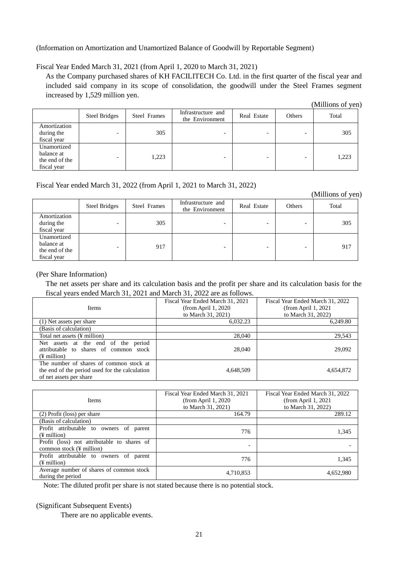(Information on Amortization and Unamortized Balance of Goodwill by Reportable Segment)

# Fiscal Year Ended March 31, 2021 (from April 1, 2020 to March 31, 2021)

As the Company purchased shares of KH FACILITECH Co. Ltd. in the first quarter of the fiscal year and included said company in its scope of consolidation, the goodwill under the Steel Frames segment increased by 1,529 million yen.

| (Millions of yen) |  |  |  |
|-------------------|--|--|--|
|-------------------|--|--|--|

|                                                            | Steel Bridges | Steel Frames | Infrastructure and<br>the Environment | Real Estate | Others                   | Total |
|------------------------------------------------------------|---------------|--------------|---------------------------------------|-------------|--------------------------|-------|
| Amortization<br>during the<br>fiscal year                  |               | 305          |                                       |             | $\overline{\phantom{0}}$ | 305   |
| Unamortized<br>balance at<br>the end of the<br>fiscal year |               | 1,223        | $\overline{\phantom{0}}$              |             | $\overline{\phantom{0}}$ | 1,223 |

Fiscal Year ended March 31, 2022 (from April 1, 2021 to March 31, 2022)

(Millions of yen)

|                                                            | <b>Steel Bridges</b>     | Steel Frames | Infrastructure and<br>the Environment | Real Estate | Others                   | Total |
|------------------------------------------------------------|--------------------------|--------------|---------------------------------------|-------------|--------------------------|-------|
| Amortization<br>during the<br>fiscal year                  | $\overline{\phantom{0}}$ | 305          | -                                     |             | $\overline{\phantom{0}}$ | 305   |
| Unamortized<br>balance at<br>the end of the<br>fiscal year | $\overline{\phantom{0}}$ | 917          | -                                     |             | $\overline{\phantom{0}}$ | 917   |

(Per Share Information)

The net assets per share and its calculation basis and the profit per share and its calculation basis for the fiscal years ended March 31, 2021 and March 31, 2022 are as follows.

|                                                                               | Fiscal Year Ended March 31, 2021 | Fiscal Year Ended March 31, 2022 |
|-------------------------------------------------------------------------------|----------------------------------|----------------------------------|
| <b>Items</b>                                                                  | (from April $1,2020$             | (from April 1, 2021)             |
|                                                                               | to March 31, 2021)               | to March 31, 2022)               |
| (1) Net assets per share                                                      | 6.032.23                         | 6.249.80                         |
| (Basis of calculation)                                                        |                                  |                                  |
| Total net assets (¥ million)                                                  | 28,040                           | 29.543                           |
| Net assets at the end of the period<br>attributable to shares of common stock | 28,040                           | 29,092                           |
| (¥ million)                                                                   |                                  |                                  |
| The number of shares of common stock at                                       |                                  |                                  |
| the end of the period used for the calculation                                | 4,648,509                        | 4,654,872                        |
| of net assets per share                                                       |                                  |                                  |

|                                             | Fiscal Year Ended March 31, 2021 | Fiscal Year Ended March 31, 2022 |
|---------------------------------------------|----------------------------------|----------------------------------|
| <b>Items</b>                                | (from April $1,2020$             | (from April 1, 2021)             |
|                                             | to March 31, 2021)               | to March 31, 2022)               |
| $(2)$ Profit (loss) per share               | 164.79                           | 289.12                           |
| (Basis of calculation)                      |                                  |                                  |
| Profit attributable to owners of<br>parent  | 776                              | 1,345                            |
| $(\frac{1}{2})$ million                     |                                  |                                  |
| Profit (loss) not attributable to shares of |                                  |                                  |
| common stock $(\frac{1}{2})$ million        |                                  |                                  |
| Profit attributable to owners of parent     | 776                              | 1,345                            |
| (¥ million)                                 |                                  |                                  |
| Average number of shares of common stock    | 4,710,853                        |                                  |
| during the period                           |                                  | 4,652,980                        |

Note: The diluted profit per share is not stated because there is no potential stock.

# (Significant Subsequent Events)

There are no applicable events.